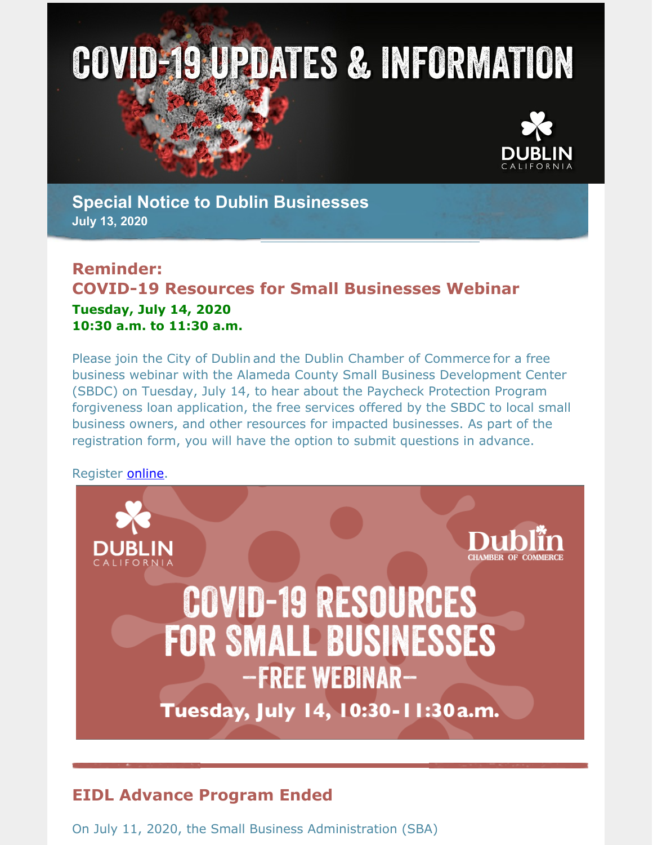# **COVID-19 UPDATES & INFORMATION**



**Special Notice to Dublin Businesses July 13, 2020**

#### **Reminder: COVID-19 Resources for Small Businesses Webinar Tuesday, July 14, 2020 10:30 a.m. to 11:30 a.m.**

Please join the City of Dublin and the Dublin Chamber of Commerce for a free business webinar with the Alameda County Small Business Development Center (SBDC) on Tuesday, July 14, to hear about the Paycheck Protection Program forgiveness loan application, the free services offered by the SBDC to local small business owners, and other resources for impacted businesses. As part of the registration form, you will have the option to submit questions in advance.

Register [online.](https://dublinca.zoom.us/webinar/register/WN_59mLmHHFRKS_4hRPgm-NsA)



# **EIDL Advance Program Ended**

On July 11, 2020, the Small Business Administration (SBA)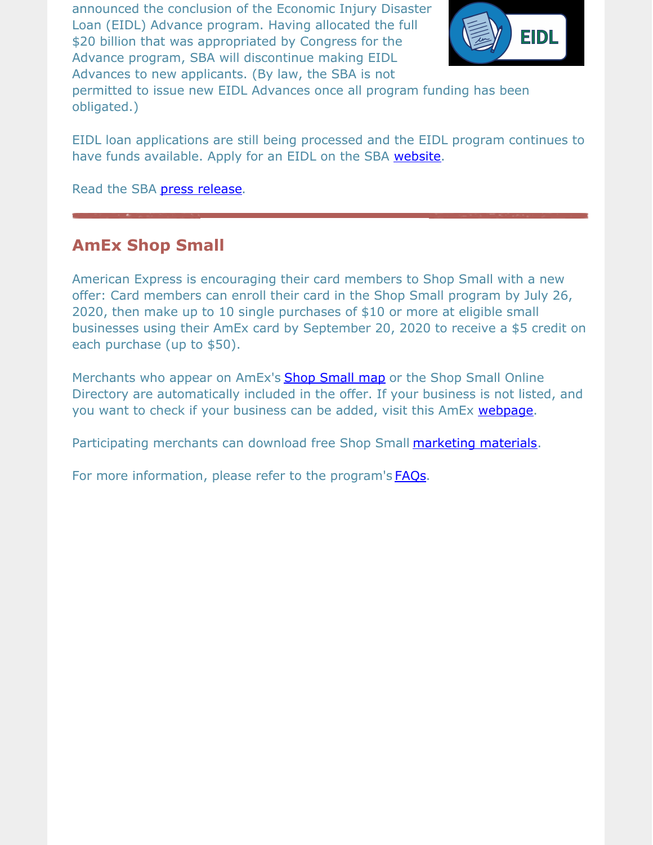announced the conclusion of the Economic Injury Disaster Loan (EIDL) Advance program. Having allocated the full \$20 billion that was appropriated by Congress for the Advance program, SBA will discontinue making EIDL Advances to new applicants. (By law, the SBA is not



permitted to issue new EIDL Advances once all program funding has been obligated.)

EIDL loan applications are still being processed and the EIDL program continues to have funds available. Apply for an EIDL on the SBA [website](https://covid19relief.sba.gov/#/).

Read the SBA press [release](https://www.sba.gov/about-sba/sba-newsroom/press-releases-media-advisories/sba-provided-20-billion-small-businesses-and-non-profits-through-economic-injury-disaster-loan).

## **AmEx Shop Small**

American Express is encouraging their card members to Shop Small with a new offer: Card members can enroll their card in the Shop Small program by July 26, 2020, then make up to 10 single purchases of \$10 or more at eligible small businesses using their AmEx card by September 20, 2020 to receive a \$5 credit on each purchase (up to \$50).

Merchants who appear on AmEx's **Shop [Small](https://www.americanexpress.com/en-US/maps?country=US&near=Dublin,CA,94568&cat=Shop-Small&cl=37.7159396,-121.9101221&extlink=us-GABM-Map_Home) map** or the Shop Small Online Directory are automatically included in the offer. If your business is not listed, and you want to check if your business can be added, visit this AmEx [webpage](https://merchant-global.americanexpress.com/login/public-profile).

Participating merchants can download free Shop Small **[marketing](https://www.americanexpress.com/us/merchant/shop-small.html#toolkit) materials**.

For more information, please refer to the program's **[FAQs](https://icm.aexp-static.com/shopamex/assets/Amex_Shop_Small_Offer_FAQ.pdf)**.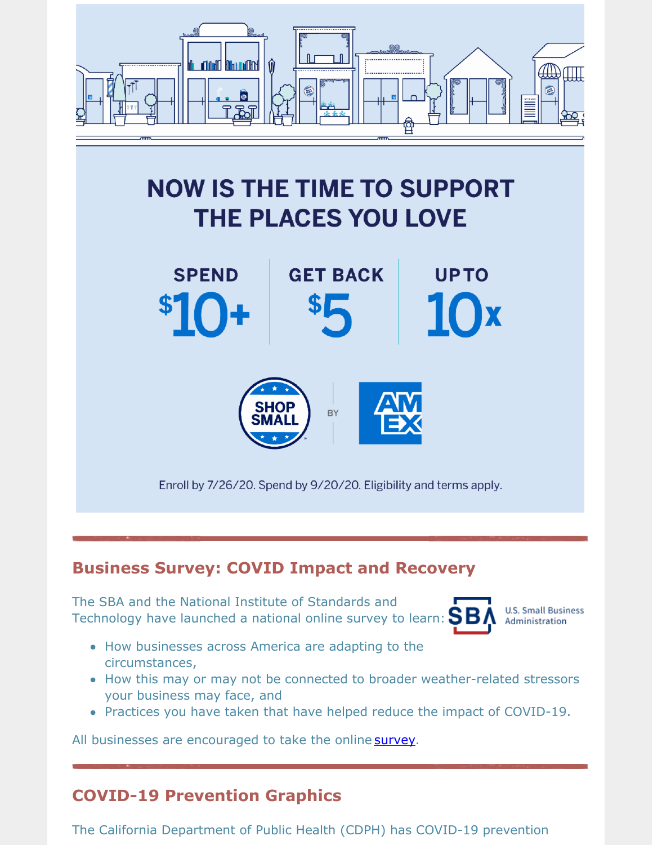

# **NOW IS THE TIME TO SUPPORT** THE PLACES YOU LOVE



## **Business Survey: COVID Impact and Recovery**

The SBA and the National Institute of Standards and Technology have launched a national online survey to learn:  $\mathbf{S}\mathbf{B}$ 



**U.S. Small Business** Administration

- How businesses across America are adapting to the circumstances,
- How this may or may not be connected to broader weather-related stressors your business may face, and
- Practices you have taken that have helped reduce the impact of COVID-19.

All businesses are encouraged to take the online [survey](https://www.surveymonkey.com/r/T7SK6GX).

# **COVID-19 Prevention Graphics**

The California Department of Public Health (CDPH) has COVID-19 prevention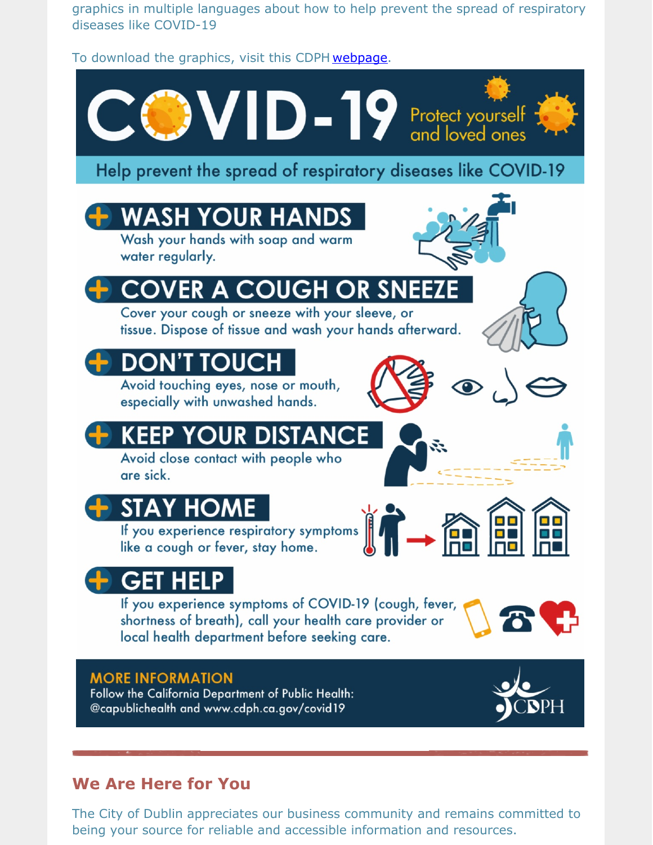graphics in multiple languages about how to help prevent the spread of respiratory diseases like COVID-19

To download the graphics, visit this CDPH [webpage](https://www.cdph.ca.gov/Programs/CID/DCDC/Pages/COVID-19/Resources.aspx).



## **We Are Here for You**

The City of Dublin appreciates our business community and remains committed to being your source for reliable and accessible information and resources.